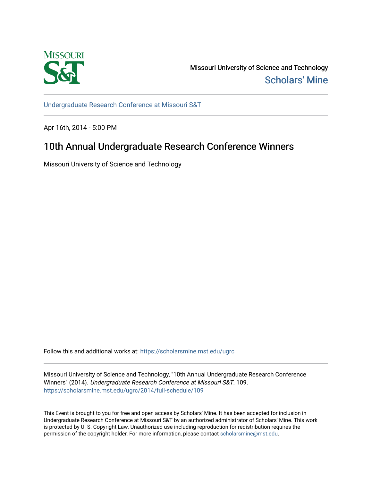

Missouri University of Science and Technology [Scholars' Mine](https://scholarsmine.mst.edu/) 

[Undergraduate Research Conference at Missouri S&T](https://scholarsmine.mst.edu/ugrc)

Apr 16th, 2014 - 5:00 PM

## 10th Annual Undergraduate Research Conference Winners

Missouri University of Science and Technology

Follow this and additional works at: [https://scholarsmine.mst.edu/ugrc](https://scholarsmine.mst.edu/ugrc?utm_source=scholarsmine.mst.edu%2Fugrc%2F2014%2Ffull-schedule%2F109&utm_medium=PDF&utm_campaign=PDFCoverPages) 

Missouri University of Science and Technology, "10th Annual Undergraduate Research Conference Winners" (2014). Undergraduate Research Conference at Missouri S&T. 109. [https://scholarsmine.mst.edu/ugrc/2014/full-schedule/109](https://scholarsmine.mst.edu/ugrc/2014/full-schedule/109?utm_source=scholarsmine.mst.edu%2Fugrc%2F2014%2Ffull-schedule%2F109&utm_medium=PDF&utm_campaign=PDFCoverPages)

This Event is brought to you for free and open access by Scholars' Mine. It has been accepted for inclusion in Undergraduate Research Conference at Missouri S&T by an authorized administrator of Scholars' Mine. This work is protected by U. S. Copyright Law. Unauthorized use including reproduction for redistribution requires the permission of the copyright holder. For more information, please contact [scholarsmine@mst.edu](mailto:scholarsmine@mst.edu).